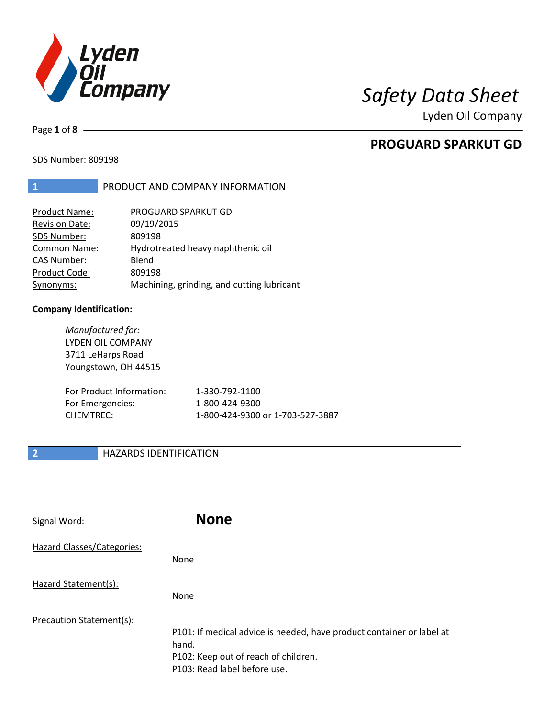

Page **1** of **8**

# **PROGUARD SPARKUT GD**

SDS Number: 809198

### **1** PRODUCT AND COMPANY INFORMATION

| Product Name:         | PROGUARD SPARKUT GD                        |
|-----------------------|--------------------------------------------|
| <b>Revision Date:</b> | 09/19/2015                                 |
| SDS Number:           | 809198                                     |
| <b>Common Name:</b>   | Hydrotreated heavy naphthenic oil          |
| <b>CAS Number:</b>    | Blend                                      |
| Product Code:         | 809198                                     |
| Synonyms:             | Machining, grinding, and cutting lubricant |

### **Company Identification:**

*Manufactured for:* LYDEN OIL COMPANY 3711 LeHarps Road Youngstown, OH 44515 For Product Information: 1-330-792-1100 For Emergencies: 1-800-424-9300 CHEMTREC: 1-800-424-9300 or 1-703-527-3887

## **2 HAZARDS IDENTIFICATION**

| Signal Word:               | <b>None</b>                                                                                                                                            |
|----------------------------|--------------------------------------------------------------------------------------------------------------------------------------------------------|
| Hazard Classes/Categories: | None                                                                                                                                                   |
| Hazard Statement(s):       | None                                                                                                                                                   |
| Precaution Statement(s):   | P101: If medical advice is needed, have product container or label at<br>hand.<br>P102: Keep out of reach of children.<br>P103: Read label before use. |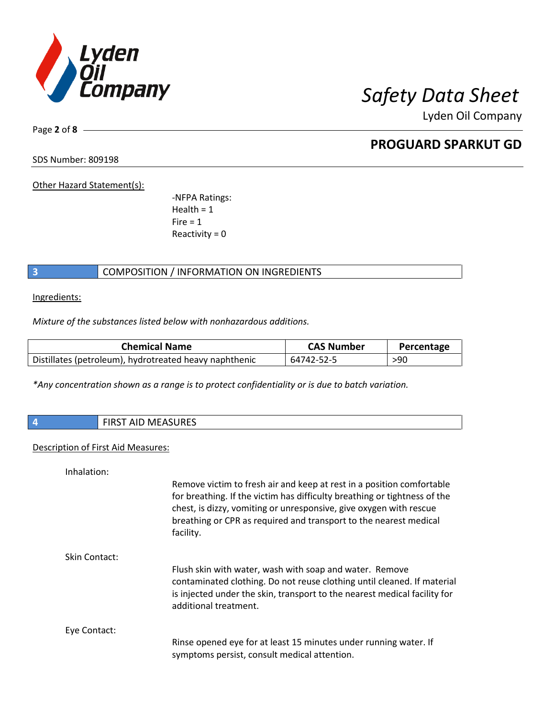

Page **2** of **8**

# **PROGUARD SPARKUT GD**

SDS Number: 809198

Other Hazard Statement(s):

-NFPA Ratings:  $Health = 1$  $Fire = 1$ Reactivity  $= 0$ 

## **3** COMPOSITION / INFORMATION ON INGREDIENTS

Ingredients:

*Mixture of the substances listed below with nonhazardous additions.*

| <b>Chemical Name</b>                                   | <b>CAS Number</b> | Percentage |
|--------------------------------------------------------|-------------------|------------|
| Distillates (petroleum), hydrotreated heavy naphthenic | 64742-52-5        | >90        |

*\*Any concentration shown as a range is to protect confidentiality or is due to batch variation.*

| 74 | $\blacksquare$<br>w<br>AID IVIEASUNES |
|----|---------------------------------------|
|    |                                       |

### Description of First Aid Measures:

| Inhalation:   |                                                                                                                                                                                                                                                                                                            |
|---------------|------------------------------------------------------------------------------------------------------------------------------------------------------------------------------------------------------------------------------------------------------------------------------------------------------------|
|               | Remove victim to fresh air and keep at rest in a position comfortable<br>for breathing. If the victim has difficulty breathing or tightness of the<br>chest, is dizzy, vomiting or unresponsive, give oxygen with rescue<br>breathing or CPR as required and transport to the nearest medical<br>facility. |
| Skin Contact: |                                                                                                                                                                                                                                                                                                            |
|               | Flush skin with water, wash with soap and water. Remove                                                                                                                                                                                                                                                    |
|               | contaminated clothing. Do not reuse clothing until cleaned. If material                                                                                                                                                                                                                                    |
|               | is injected under the skin, transport to the nearest medical facility for<br>additional treatment.                                                                                                                                                                                                         |
| Eye Contact:  |                                                                                                                                                                                                                                                                                                            |
|               | Rinse opened eye for at least 15 minutes under running water. If                                                                                                                                                                                                                                           |
|               | symptoms persist, consult medical attention.                                                                                                                                                                                                                                                               |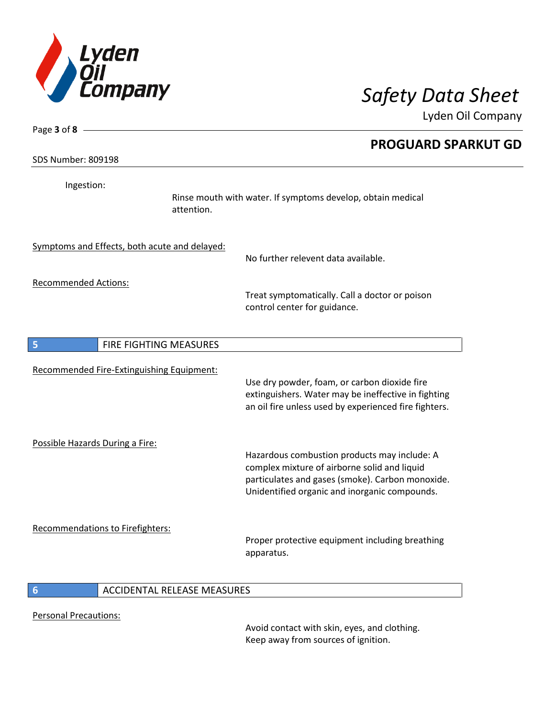

| Page 3 of 8 -                                 | <b>PROGUARD SPARKUT GD</b>                                                                                                                                                                        |
|-----------------------------------------------|---------------------------------------------------------------------------------------------------------------------------------------------------------------------------------------------------|
| <b>SDS Number: 809198</b>                     |                                                                                                                                                                                                   |
| Ingestion:<br>attention.                      | Rinse mouth with water. If symptoms develop, obtain medical                                                                                                                                       |
| Symptoms and Effects, both acute and delayed: | No further relevent data available.                                                                                                                                                               |
| <b>Recommended Actions:</b>                   | Treat symptomatically. Call a doctor or poison<br>control center for guidance.                                                                                                                    |
| 5<br>FIRE FIGHTING MEASURES                   |                                                                                                                                                                                                   |
| Recommended Fire-Extinguishing Equipment:     | Use dry powder, foam, or carbon dioxide fire<br>extinguishers. Water may be ineffective in fighting<br>an oil fire unless used by experienced fire fighters.                                      |
| Possible Hazards During a Fire:               | Hazardous combustion products may include: A<br>complex mixture of airborne solid and liquid<br>particulates and gases (smoke). Carbon monoxide.<br>Unidentified organic and inorganic compounds. |
| Recommendations to Firefighters:              | Proper protective equipment including breathing<br>apparatus.                                                                                                                                     |
| 6<br>ACCIDENTAL RELEASE MEASURES              |                                                                                                                                                                                                   |

Personal Precautions:

Avoid contact with skin, eyes, and clothing. Keep away from sources of ignition.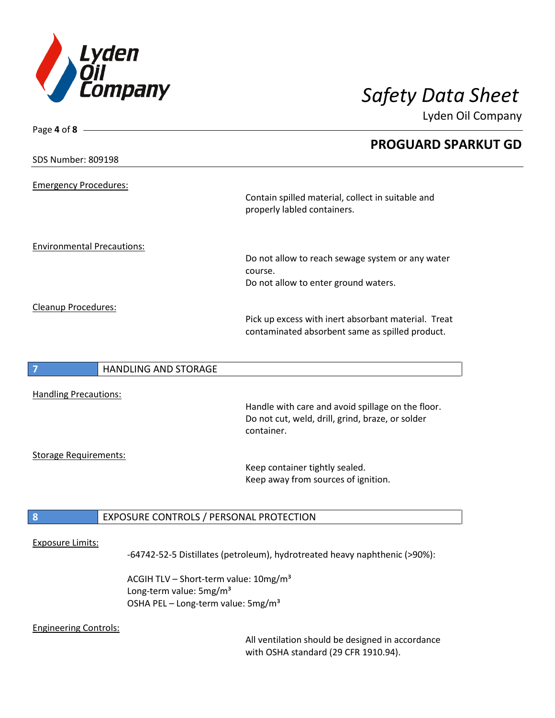

| Page 4 of 8 $-$                   |                                                                                  |
|-----------------------------------|----------------------------------------------------------------------------------|
|                                   | <b>PROGUARD SPARKUT GD</b>                                                       |
| <b>SDS Number: 809198</b>         |                                                                                  |
| <b>Emergency Procedures:</b>      |                                                                                  |
|                                   | Contain spilled material, collect in suitable and<br>properly labled containers. |
| <b>Environmental Precautions:</b> |                                                                                  |
|                                   | Do not allow to reach sewage system or any water<br>course.                      |
|                                   | Do not allow to enter ground waters.                                             |
| <b>Cleanup Procedures:</b>        |                                                                                  |
|                                   | Pick up excess with inert absorbant material. Treat                              |
|                                   | contaminated absorbent same as spilled product.                                  |
| <b>HANDLING AND STORAGE</b>       |                                                                                  |
|                                   |                                                                                  |
| <b>Handling Precautions:</b>      |                                                                                  |
|                                   | Handle with care and avoid spillage on the floor.                                |
|                                   | Do not cut, weld, drill, grind, braze, or solder<br>container.                   |
| <b>Storage Requirements:</b>      |                                                                                  |
|                                   | Keep container tightly sealed.                                                   |
|                                   | Keep away from sources of ignition.                                              |
| 8                                 | EXPOSURE CONTROLS / PERSONAL PROTECTION                                          |
|                                   |                                                                                  |
| <b>Exposure Limits:</b>           | -64742-52-5 Distillates (petroleum), hydrotreated heavy naphthenic (>90%):       |
|                                   |                                                                                  |

ACGIH TLV – Short-term value: 10mg/m<sup>3</sup> Long-term value: 5mg/m<sup>3</sup> OSHA PEL - Long-term value: 5mg/m<sup>3</sup>

### Engineering Controls:

All ventilation should be designed in accordance with OSHA standard (29 CFR 1910.94).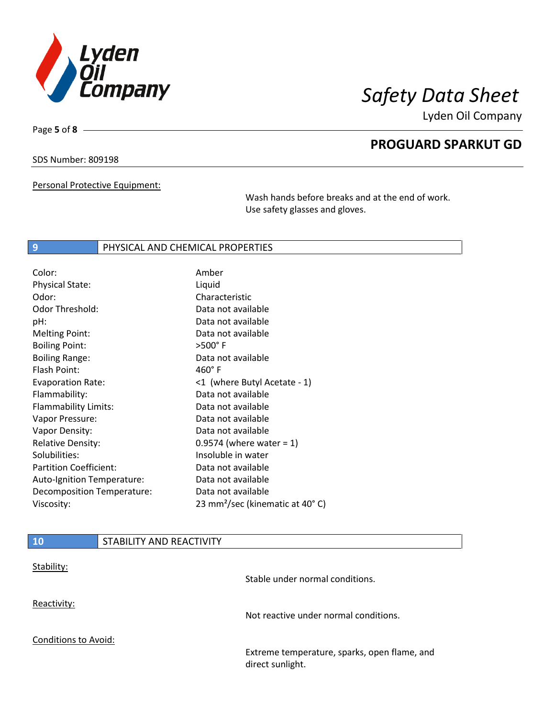

**PROGUARD SPARKUT GD**

Lyden Oil Company

SDS Number: 809198

Page **5** of **8**

Personal Protective Equipment:

Wash hands before breaks and at the end of work. Use safety glasses and gloves.

### **9 PHYSICAL AND CHEMICAL PROPERTIES**

| Color:                        | Amber                                       |
|-------------------------------|---------------------------------------------|
| <b>Physical State:</b>        | Liquid                                      |
| Odor:                         | Characteristic                              |
| Odor Threshold:               | Data not available                          |
| pH:                           | Data not available                          |
| <b>Melting Point:</b>         | Data not available                          |
| <b>Boiling Point:</b>         | $>500^\circ$ F                              |
| <b>Boiling Range:</b>         | Data not available                          |
| Flash Point:                  | $460^\circ$ F                               |
| <b>Evaporation Rate:</b>      | <1 (where Butyl Acetate - 1)                |
| Flammability:                 | Data not available                          |
| Flammability Limits:          | Data not available                          |
| Vapor Pressure:               | Data not available                          |
| Vapor Density:                | Data not available                          |
| <b>Relative Density:</b>      | 0.9574 (where water = $1$ )                 |
| Solubilities:                 | Insoluble in water                          |
| <b>Partition Coefficient:</b> | Data not available                          |
| Auto-Ignition Temperature:    | Data not available                          |
| Decomposition Temperature:    | Data not available                          |
| Viscosity:                    | 23 mm <sup>2</sup> /sec (kinematic at 40°C) |

| <b>10</b>                   | STABILITY AND REACTIVITY |                                                                  |
|-----------------------------|--------------------------|------------------------------------------------------------------|
| Stability:                  |                          | Stable under normal conditions.                                  |
| Reactivity:                 |                          | Not reactive under normal conditions.                            |
| <b>Conditions to Avoid:</b> |                          | Extreme temperature, sparks, open flame, and<br>direct sunlight. |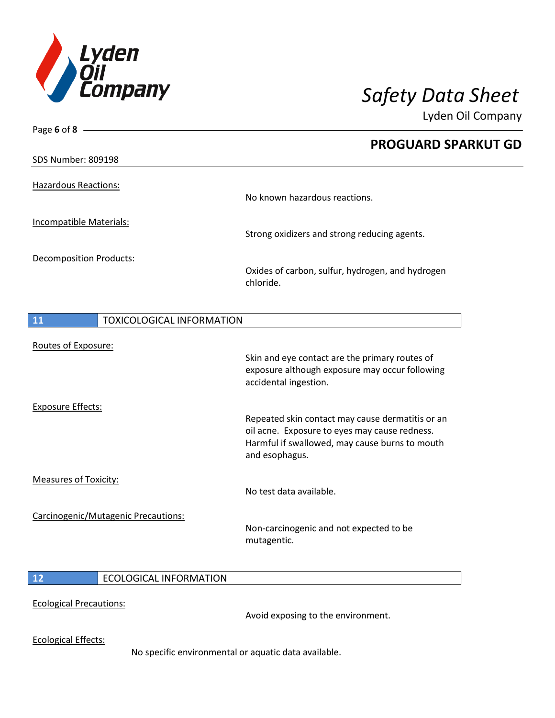

| Page 6 of 8 -                             |                                                                                                   |
|-------------------------------------------|---------------------------------------------------------------------------------------------------|
|                                           | <b>PROGUARD SPARKUT GD</b>                                                                        |
| <b>SDS Number: 809198</b>                 |                                                                                                   |
| <b>Hazardous Reactions:</b>               | No known hazardous reactions.                                                                     |
| Incompatible Materials:                   | Strong oxidizers and strong reducing agents.                                                      |
| <b>Decomposition Products:</b>            | Oxides of carbon, sulfur, hydrogen, and hydrogen<br>chloride.                                     |
| $\boxed{11}$<br>TOXICOLOGICAL INFORMATION |                                                                                                   |
| Routes of Exposure:                       | Skin and eye contact are the primary routes of                                                    |
|                                           | exposure although exposure may occur following<br>accidental ingestion.                           |
| <b>Exposure Effects:</b>                  |                                                                                                   |
|                                           | Repeated skin contact may cause dermatitis or an<br>oil acne. Exposure to eyes may cause redness. |
|                                           | Harmful if swallowed, may cause burns to mouth<br>and esophagus.                                  |
| <b>Measures of Toxicity:</b>              | No test data available.                                                                           |
|                                           |                                                                                                   |
| Carcinogenic/Mutagenic Precautions:       | Non-carcinogenic and not expected to be<br>mutagentic.                                            |
|                                           |                                                                                                   |

## **12** ECOLOGICAL INFORMATION

### Ecological Precautions:

Avoid exposing to the environment.

Ecological Effects:

No specific environmental or aquatic data available.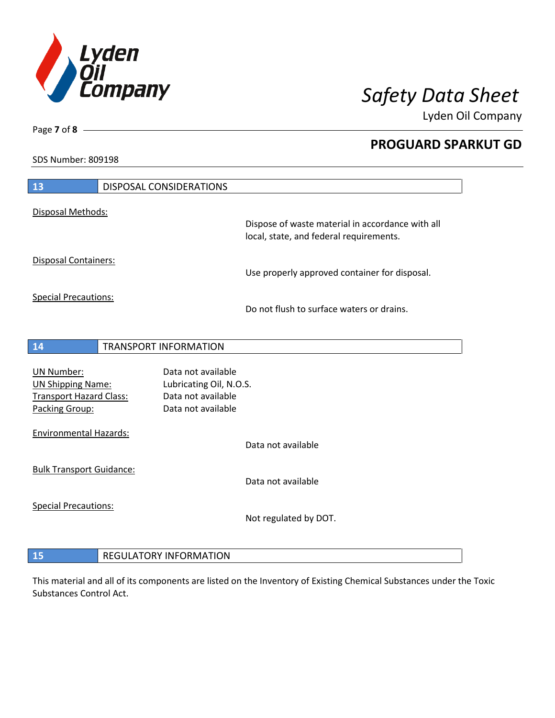

**PROGUARD SPARKUT GD**

Lyden Oil Company

SDS Number: 809198

Page **7** of **8**

| 13                              | <b>DISPOSAL CONSIDERATIONS</b> |                                                                                             |
|---------------------------------|--------------------------------|---------------------------------------------------------------------------------------------|
| Disposal Methods:               |                                |                                                                                             |
|                                 |                                | Dispose of waste material in accordance with all<br>local, state, and federal requirements. |
| Disposal Containers:            |                                | Use properly approved container for disposal.                                               |
| <b>Special Precautions:</b>     |                                | Do not flush to surface waters or drains.                                                   |
| 14                              | TRANSPORT INFORMATION          |                                                                                             |
| <b>UN Number:</b>               | Data not available             |                                                                                             |
| <b>UN Shipping Name:</b>        | Lubricating Oil, N.O.S.        |                                                                                             |
| <b>Transport Hazard Class:</b>  | Data not available             |                                                                                             |
| Packing Group:                  | Data not available             |                                                                                             |
| <b>Environmental Hazards:</b>   |                                |                                                                                             |
|                                 |                                | Data not available                                                                          |
| <b>Bulk Transport Guidance:</b> |                                |                                                                                             |
|                                 |                                | Data not available                                                                          |
| <b>Special Precautions:</b>     |                                |                                                                                             |
|                                 |                                | Not regulated by DOT.                                                                       |
|                                 |                                |                                                                                             |
| 15                              | <b>REGULATORY INFORMATION</b>  |                                                                                             |

This material and all of its components are listed on the Inventory of Existing Chemical Substances under the Toxic Substances Control Act.